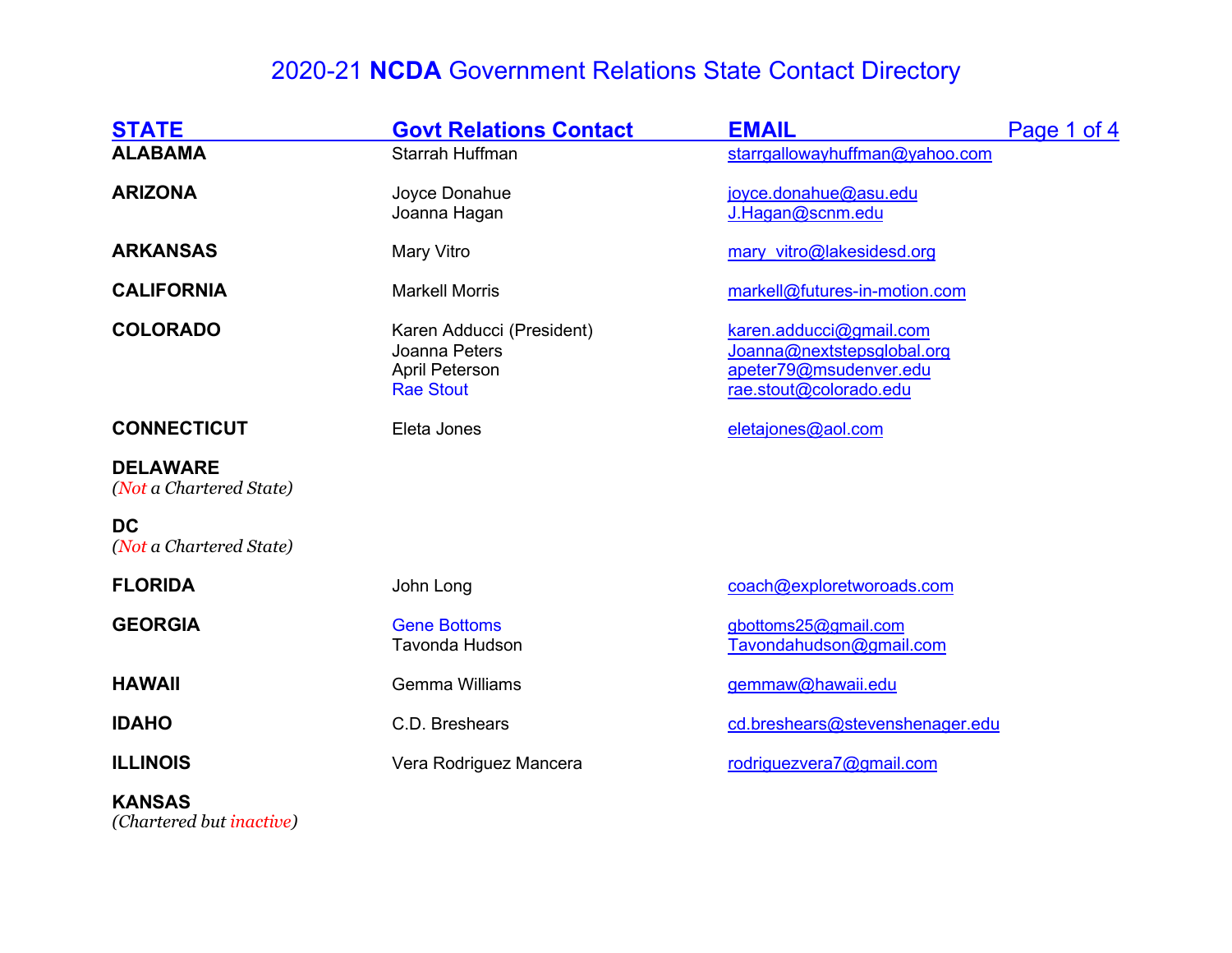| <b>STATE</b>                               | <b>Govt Relations Contact</b>                                                           | <b>EMAIL</b>                                                                                              | Page 1 of 4 |
|--------------------------------------------|-----------------------------------------------------------------------------------------|-----------------------------------------------------------------------------------------------------------|-------------|
| <b>ALABAMA</b>                             | Starrah Huffman                                                                         | starrgallowayhuffman@yahoo.com                                                                            |             |
| <b>ARIZONA</b>                             | Joyce Donahue<br>Joanna Hagan                                                           | joyce.donahue@asu.edu<br>J.Hagan@scnm.edu                                                                 |             |
| <b>ARKANSAS</b>                            | Mary Vitro                                                                              | mary vitro@lakesidesd.org                                                                                 |             |
| <b>CALIFORNIA</b>                          | <b>Markell Morris</b>                                                                   | markell@futures-in-motion.com                                                                             |             |
| <b>COLORADO</b>                            | Karen Adducci (President)<br>Joanna Peters<br><b>April Peterson</b><br><b>Rae Stout</b> | karen.adducci@gmail.com<br>Joanna@nextstepsglobal.org<br>apeter79@msudenver.edu<br>rae.stout@colorado.edu |             |
| <b>CONNECTICUT</b>                         | Eleta Jones                                                                             | eletajones@aol.com                                                                                        |             |
| <b>DELAWARE</b><br>(Not a Chartered State) |                                                                                         |                                                                                                           |             |
| <b>DC</b><br>(Not a Chartered State)       |                                                                                         |                                                                                                           |             |
| <b>FLORIDA</b>                             | John Long                                                                               | coach@exploretworoads.com                                                                                 |             |
| <b>GEORGIA</b>                             | <b>Gene Bottoms</b><br><b>Tavonda Hudson</b>                                            | gbottoms25@gmail.com<br>Tavondahudson@gmail.com                                                           |             |
| <b>HAWAII</b>                              | <b>Gemma Williams</b>                                                                   | gemmaw@hawaii.edu                                                                                         |             |
| <b>IDAHO</b>                               | C.D. Breshears                                                                          | cd.breshears@stevenshenager.edu                                                                           |             |
| <b>ILLINOIS</b>                            | Vera Rodriguez Mancera                                                                  | rodriguezvera7@gmail.com                                                                                  |             |

#### KANSAS

(Chartered but inactive)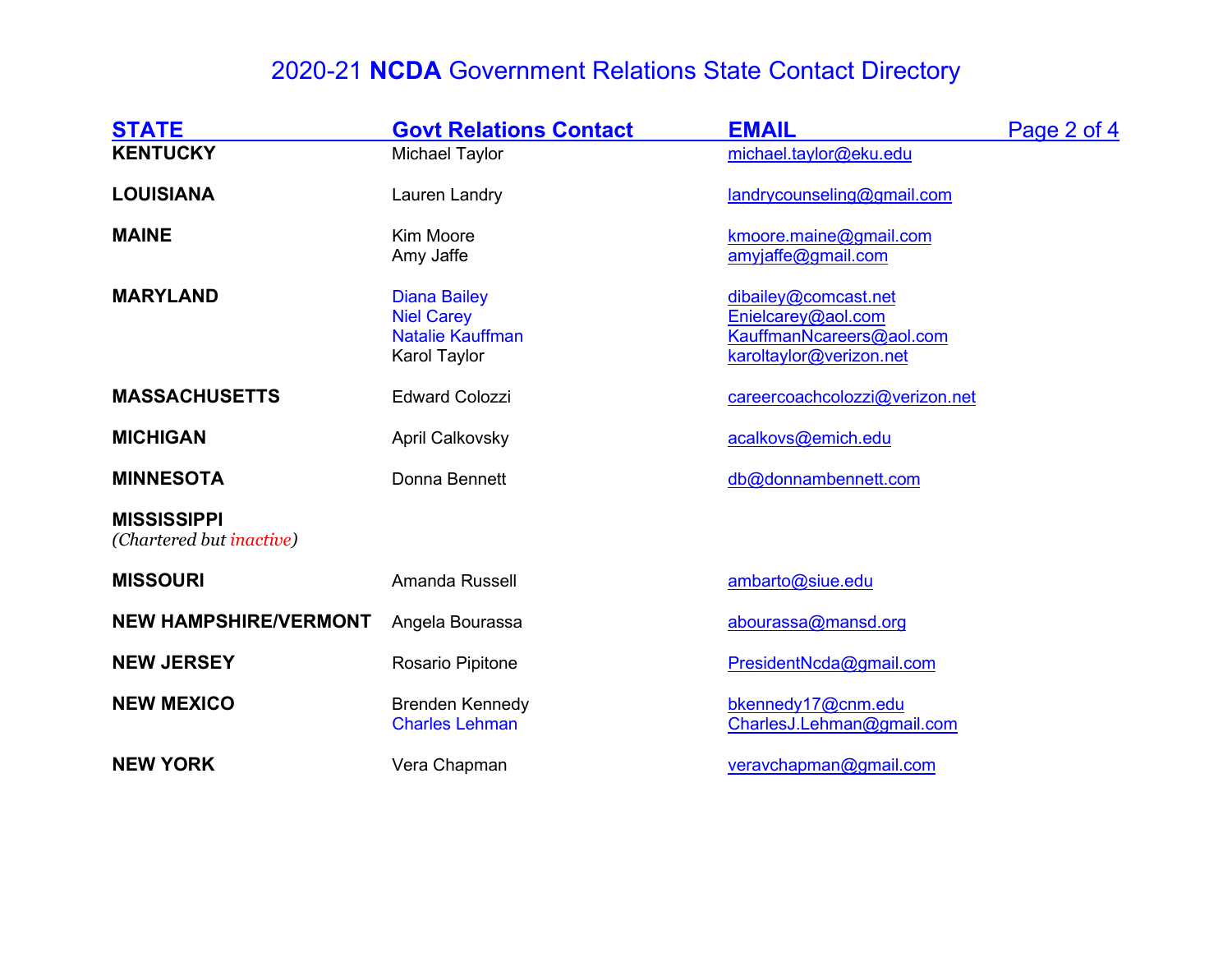| <b>STATE</b>                                           | <b>Govt Relations Contact</b>                                                       | <b>EMAIL</b>                                                                                      | Page 2 of 4 |
|--------------------------------------------------------|-------------------------------------------------------------------------------------|---------------------------------------------------------------------------------------------------|-------------|
| <b>KENTUCKY</b>                                        | <b>Michael Taylor</b>                                                               | michael.taylor@eku.edu                                                                            |             |
| <b>LOUISIANA</b>                                       | Lauren Landry                                                                       | landrycounseling@gmail.com                                                                        |             |
| <b>MAINE</b>                                           | Kim Moore<br>Amy Jaffe                                                              | kmoore.maine@gmail.com<br>amyjaffe@gmail.com                                                      |             |
| <b>MARYLAND</b>                                        | <b>Diana Bailey</b><br><b>Niel Carey</b><br><b>Natalie Kauffman</b><br>Karol Taylor | dibailey@comcast.net<br>Enielcarey@aol.com<br>KauffmanNcareers@aol.com<br>karoltaylor@verizon.net |             |
| <b>MASSACHUSETTS</b>                                   | <b>Edward Colozzi</b>                                                               | careercoachcolozzi@verizon.net                                                                    |             |
| <b>MICHIGAN</b>                                        | <b>April Calkovsky</b>                                                              | acalkovs@emich.edu                                                                                |             |
| <b>MINNESOTA</b>                                       | Donna Bennett                                                                       | db@donnambennett.com                                                                              |             |
| <b>MISSISSIPPI</b><br>(Chartered but <i>inactive</i> ) |                                                                                     |                                                                                                   |             |
| <b>MISSOURI</b>                                        | Amanda Russell                                                                      | ambarto@siue.edu                                                                                  |             |
| <b>NEW HAMPSHIRE/VERMONT</b>                           | Angela Bourassa                                                                     | abourassa@mansd.org                                                                               |             |
| <b>NEW JERSEY</b>                                      | Rosario Pipitone                                                                    | PresidentNcda@gmail.com                                                                           |             |
| <b>NEW MEXICO</b>                                      | <b>Brenden Kennedy</b><br><b>Charles Lehman</b>                                     | bkennedy17@cnm.edu<br>CharlesJ.Lehman@gmail.com                                                   |             |
| <b>NEW YORK</b>                                        | Vera Chapman                                                                        | veravchapman@gmail.com                                                                            |             |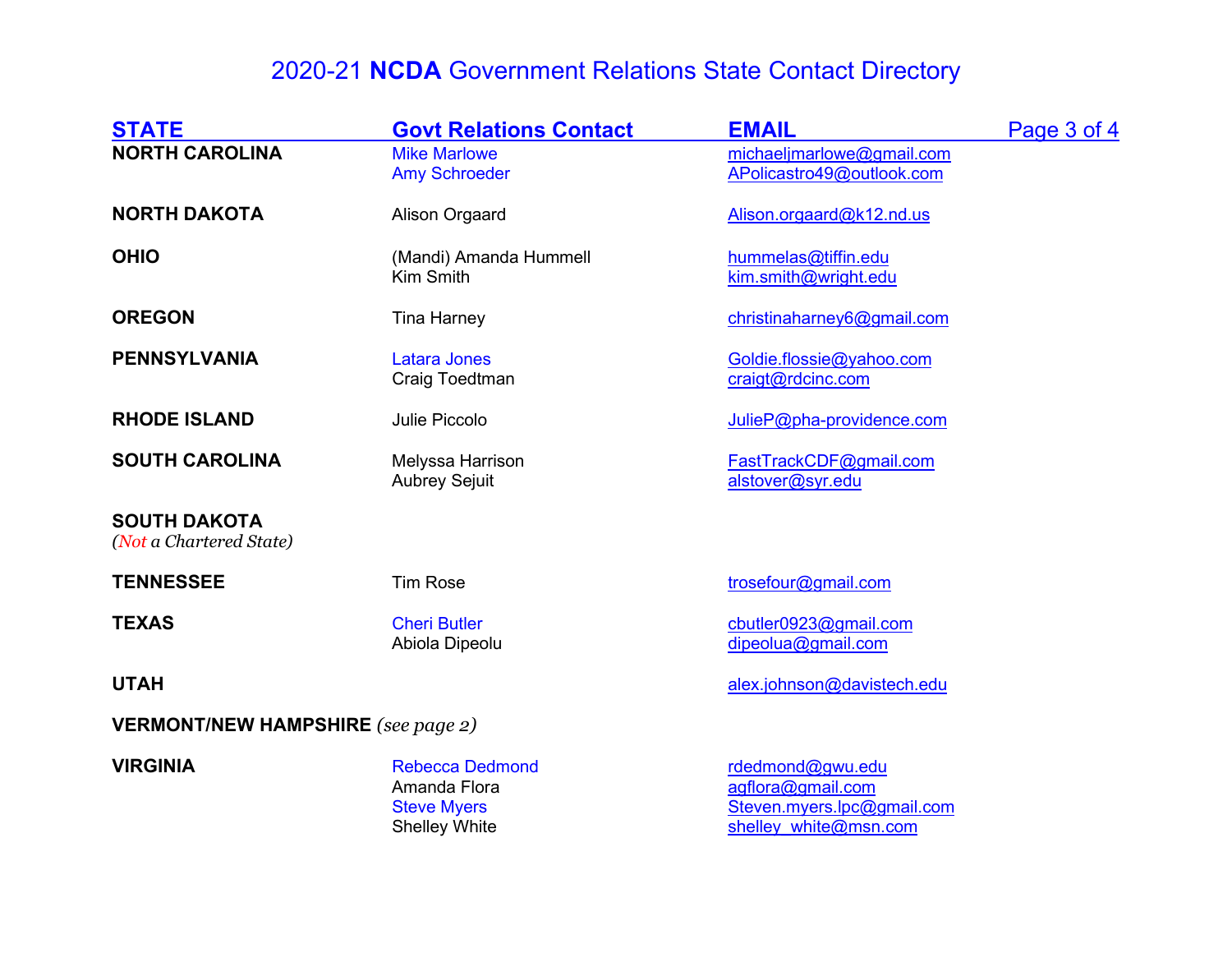| <b>STATE</b>                                   | <b>Govt Relations Contact</b>                                                        | <b>EMAIL</b>                                                                                 | Page 3 of 4 |
|------------------------------------------------|--------------------------------------------------------------------------------------|----------------------------------------------------------------------------------------------|-------------|
| <b>NORTH CAROLINA</b>                          | <b>Mike Marlowe</b><br><b>Amy Schroeder</b>                                          | michaelimarlowe@gmail.com<br>APolicastro49@outlook.com                                       |             |
| <b>NORTH DAKOTA</b>                            | Alison Orgaard                                                                       | Alison.orgaard@k12.nd.us                                                                     |             |
| <b>OHIO</b>                                    | (Mandi) Amanda Hummell<br>Kim Smith                                                  | hummelas@tiffin.edu<br>kim.smith@wright.edu                                                  |             |
| <b>OREGON</b>                                  | <b>Tina Harney</b>                                                                   | christinaharney6@gmail.com                                                                   |             |
| <b>PENNSYLVANIA</b>                            | <b>Latara Jones</b><br>Craig Toedtman                                                | Goldie.flossie@yahoo.com<br>craigt@rdcinc.com                                                |             |
| <b>RHODE ISLAND</b>                            | Julie Piccolo                                                                        | JulieP@pha-providence.com                                                                    |             |
| <b>SOUTH CAROLINA</b>                          | Melyssa Harrison<br><b>Aubrey Sejuit</b>                                             | FastTrackCDF@gmail.com<br>alstover@syr.edu                                                   |             |
| <b>SOUTH DAKOTA</b><br>(Not a Chartered State) |                                                                                      |                                                                                              |             |
| <b>TENNESSEE</b>                               | <b>Tim Rose</b>                                                                      | trosefour@gmail.com                                                                          |             |
| <b>TEXAS</b>                                   | <b>Cheri Butler</b><br>Abiola Dipeolu                                                | cbutler0923@gmail.com<br>dipeolua@gmail.com                                                  |             |
| <b>UTAH</b>                                    |                                                                                      | alex.johnson@davistech.edu                                                                   |             |
| <b>VERMONT/NEW HAMPSHIRE</b> (see page 2)      |                                                                                      |                                                                                              |             |
| <b>VIRGINIA</b>                                | <b>Rebecca Dedmond</b><br>Amanda Flora<br><b>Steve Myers</b><br><b>Shelley White</b> | rdedmond@gwu.edu<br>agflora@gmail.com<br>Steven.myers.lpc@gmail.com<br>shelley white@msn.com |             |